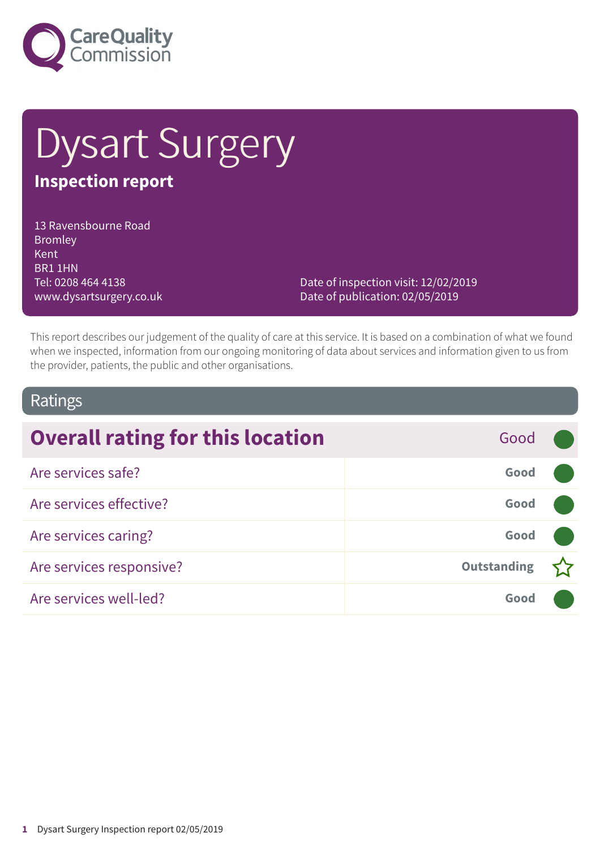

# Dysart Surgery **Inspection report**

13 Ravensbourne Road Bromley Kent BR1 1HN Tel: 0208 464 4138 www.dysartsurgery.co.uk

Date of inspection visit: 12/02/2019 Date of publication: 02/05/2019

This report describes our judgement of the quality of care at this service. It is based on a combination of what we found when we inspected, information from our ongoing monitoring of data about services and information given to us from the provider, patients, the public and other organisations.

#### Ratings

| <b>Overall rating for this location</b> | Good               |  |
|-----------------------------------------|--------------------|--|
| Are services safe?                      | Good               |  |
| Are services effective?                 | Good               |  |
| Are services caring?                    | Good               |  |
| Are services responsive?                | <b>Outstanding</b> |  |
| Are services well-led?                  | Good               |  |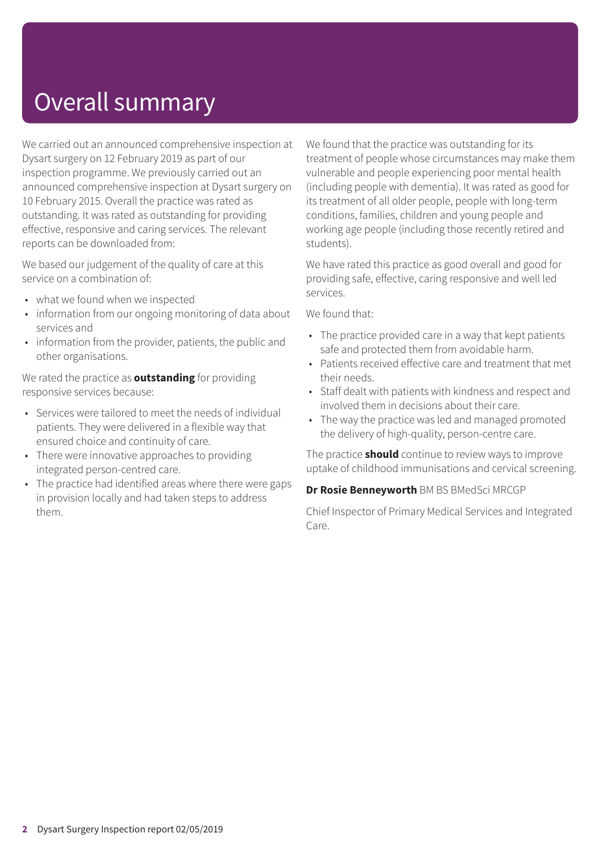# Overall summary

We carried out an announced comprehensive inspection at Dysart surgery on 12 February 2019 as part of our inspection programme. We previously carried out an announced comprehensive inspection at Dysart surgery on 10 February 2015. Overall the practice was rated as outstanding. It was rated as outstanding for providing effective, responsive and caring services. The relevant reports can be downloaded from:

We based our judgement of the quality of care at this service on a combination of:

- what we found when we inspected
- information from our ongoing monitoring of data about services and
- information from the provider, patients, the public and other organisations.

We rated the practice as **outstanding** for providing responsive services because:

- Services were tailored to meet the needs of individual patients. They were delivered in a flexible way that ensured choice and continuity of care.
- There were innovative approaches to providing integrated person-centred care.
- The practice had identified areas where there were gaps in provision locally and had taken steps to address them.

We found that the practice was outstanding for its treatment of people whose circumstances may make them vulnerable and people experiencing poor mental health (including people with dementia). It was rated as good for its treatment of all older people, people with long-term conditions, families, children and young people and working age people (including those recently retired and students).

We have rated this practice as good overall and good for providing safe, effective, caring responsive and well led services.

We found that:

- The practice provided care in a way that kept patients safe and protected them from avoidable harm.
- Patients received effective care and treatment that met their needs.
- Staff dealt with patients with kindness and respect and involved them in decisions about their care.
- The way the practice was led and managed promoted the delivery of high-quality, person-centre care.

The practice **should** continue to review ways to improve uptake of childhood immunisations and cervical screening.

**Dr Rosie Benneyworth** BM BS BMedSci MRCGP

Chief Inspector of Primary Medical Services and Integrated Care.